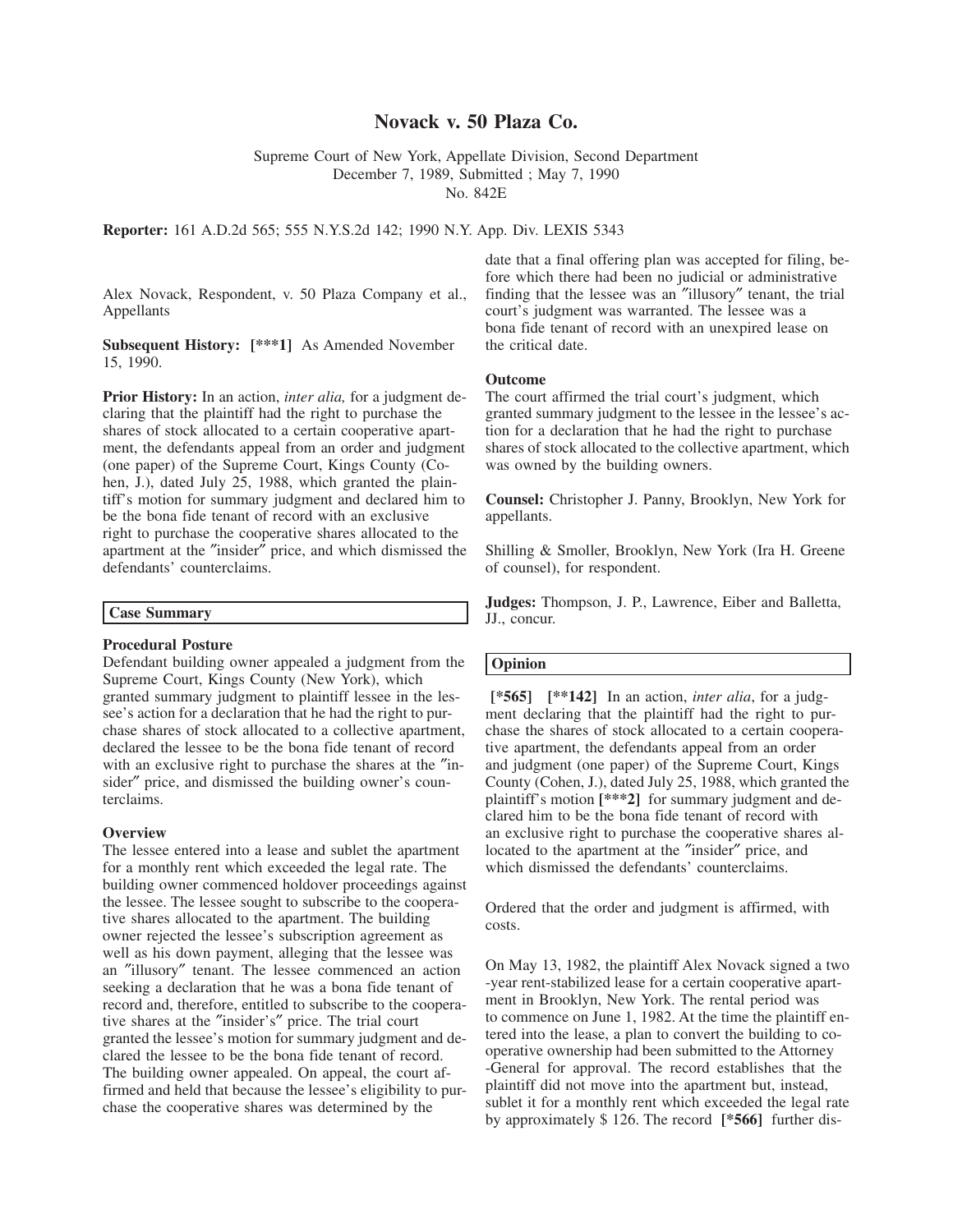# **Novack v. 50 Plaza Co.**

Supreme Court of New York, Appellate Division, Second Department

December 7, 1989, Submitted ; May 7, 1990

No. 842E

**Reporter:** 161 A.D.2d 565; 555 N.Y.S.2d 142; 1990 N.Y. App. Div. LEXIS 5343

Alex Novack, Respondent, v. 50 Plaza Company et al., Appellants

**Subsequent History: [\*\*\*1]** As Amended November 15, 1990.

**Prior History:** In an action, *inter alia,* for a judgment declaring that the plaintiff had the right to purchase the shares of stock allocated to a certain cooperative apartment, the defendants appeal from an order and judgment (one paper) of the Supreme Court, Kings County (Cohen, J.), dated July 25, 1988, which granted the plaintiff's motion for summary judgment and declared him to be the bona fide tenant of record with an exclusive right to purchase the cooperative shares allocated to the apartment at the ″insider″ price, and which dismissed the defendants' counterclaims.

## **Case Summary**

## **Procedural Posture**

Defendant building owner appealed a judgment from the Supreme Court, Kings County (New York), which granted summary judgment to plaintiff lessee in the lessee's action for a declaration that he had the right to purchase shares of stock allocated to a collective apartment, declared the lessee to be the bona fide tenant of record with an exclusive right to purchase the shares at the ″insider″ price, and dismissed the building owner's counterclaims.

### **Overview**

The lessee entered into a lease and sublet the apartment for a monthly rent which exceeded the legal rate. The building owner commenced holdover proceedings against the lessee. The lessee sought to subscribe to the cooperative shares allocated to the apartment. The building owner rejected the lessee's subscription agreement as well as his down payment, alleging that the lessee was an ″illusory″ tenant. The lessee commenced an action seeking a declaration that he was a bona fide tenant of record and, therefore, entitled to subscribe to the cooperative shares at the ″insider's″ price. The trial court granted the lessee's motion for summary judgment and declared the lessee to be the bona fide tenant of record. The building owner appealed. On appeal, the court affirmed and held that because the lessee's eligibility to purchase the cooperative shares was determined by the

date that a final offering plan was accepted for filing, before which there had been no judicial or administrative finding that the lessee was an ″illusory″ tenant, the trial court's judgment was warranted. The lessee was a bona fide tenant of record with an unexpired lease on the critical date.

#### **Outcome**

The court affirmed the trial court's judgment, which granted summary judgment to the lessee in the lessee's action for a declaration that he had the right to purchase shares of stock allocated to the collective apartment, which was owned by the building owners.

**Counsel:** Christopher J. Panny, Brooklyn, New York for appellants.

Shilling & Smoller, Brooklyn, New York (Ira H. Greene of counsel), for respondent.

**Judges:** Thompson, J. P., Lawrence, Eiber and Balletta, JJ., concur.

### **Opinion**

**[\*565] [\*\*142]** In an action, *inter alia*, for a judgment declaring that the plaintiff had the right to purchase the shares of stock allocated to a certain cooperative apartment, the defendants appeal from an order and judgment (one paper) of the Supreme Court, Kings County (Cohen, J.), dated July 25, 1988, which granted the plaintiff's motion **[\*\*\*2]** for summary judgment and declared him to be the bona fide tenant of record with an exclusive right to purchase the cooperative shares allocated to the apartment at the ″insider″ price, and which dismissed the defendants' counterclaims.

Ordered that the order and judgment is affirmed, with costs.

On May 13, 1982, the plaintiff Alex Novack signed a two -year rent-stabilized lease for a certain cooperative apartment in Brooklyn, New York. The rental period was to commence on June 1, 1982. At the time the plaintiff entered into the lease, a plan to convert the building to cooperative ownership had been submitted to the Attorney -General for approval. The record establishes that the plaintiff did not move into the apartment but, instead, sublet it for a monthly rent which exceeded the legal rate by approximately \$ 126. The record **[\*566]** further dis